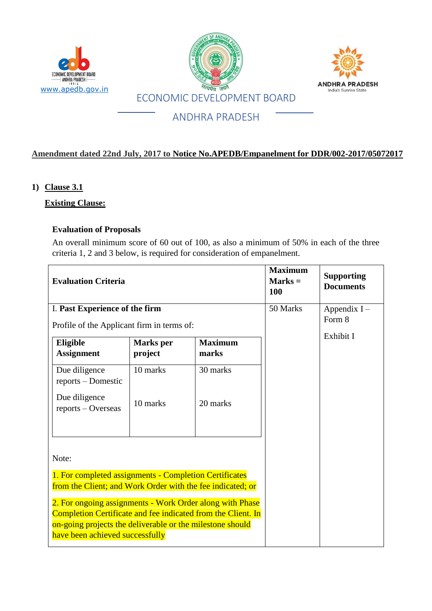

### **Amendment dated 22nd July, 2017 to Notice No.APEDB/Empanelment for DDR/002-2017/05072017**

#### **1) Clause 3.1**

#### **Existing Clause:**

#### **Evaluation of Proposals**

An overall minimum score of 60 out of 100, as also a minimum of 50% in each of the three criteria 1, 2 and 3 below, is required for consideration of empanelment.

| <b>Evaluation Criteria</b>                                                                                                                                                                                               |                  |                | <b>Maximum</b><br>$Marks =$<br>100 | <b>Supporting</b><br><b>Documents</b> |
|--------------------------------------------------------------------------------------------------------------------------------------------------------------------------------------------------------------------------|------------------|----------------|------------------------------------|---------------------------------------|
| I. Past Experience of the firm                                                                                                                                                                                           |                  |                | 50 Marks                           | Appendix I-<br>Form 8                 |
| Profile of the Applicant firm in terms of:                                                                                                                                                                               |                  |                |                                    | Exhibit I                             |
| Eligible                                                                                                                                                                                                                 | <b>Marks</b> per | <b>Maximum</b> |                                    |                                       |
| <b>Assignment</b>                                                                                                                                                                                                        | project          | marks          |                                    |                                       |
| Due diligence<br>reports – Domestic                                                                                                                                                                                      | 10 marks         | 30 marks       |                                    |                                       |
| Due diligence<br>reports - Overseas                                                                                                                                                                                      | 10 marks         | 20 marks       |                                    |                                       |
|                                                                                                                                                                                                                          |                  |                |                                    |                                       |
| Note:                                                                                                                                                                                                                    |                  |                |                                    |                                       |
| 1. For completed assignments - Completion Certificates<br>from the Client; and Work Order with the fee indicated; or                                                                                                     |                  |                |                                    |                                       |
| 2. For ongoing assignments - Work Order along with Phase<br>Completion Certificate and fee indicated from the Client. In<br>on-going projects the deliverable or the milestone should<br>have been achieved successfully |                  |                |                                    |                                       |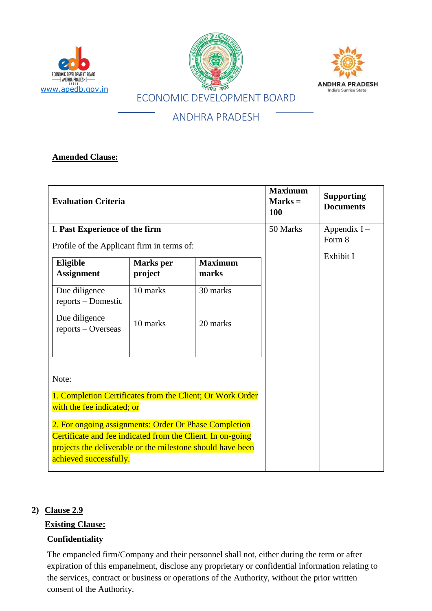





### **Amended Clause:**

| <b>Evaluation Criteria</b>                                                                                                                                                                                  |                             |                         | <b>Maximum</b><br>$Marks =$<br>100 | <b>Supporting</b><br><b>Documents</b> |
|-------------------------------------------------------------------------------------------------------------------------------------------------------------------------------------------------------------|-----------------------------|-------------------------|------------------------------------|---------------------------------------|
| I. Past Experience of the firm<br>Profile of the Applicant firm in terms of:                                                                                                                                |                             |                         | 50 Marks                           | Appendix $I -$<br>Form 8              |
| Eligible<br><b>Assignment</b>                                                                                                                                                                               | <b>Marks</b> per<br>project | <b>Maximum</b><br>marks |                                    | Exhibit I                             |
| Due diligence<br>reports – Domestic                                                                                                                                                                         | 10 marks                    | 30 marks                |                                    |                                       |
| Due diligence<br>reports - Overseas                                                                                                                                                                         | 10 marks                    | 20 marks                |                                    |                                       |
| Note:                                                                                                                                                                                                       |                             |                         |                                    |                                       |
| 1. Completion Certificates from the Client; Or Work Order<br>with the fee indicated; or                                                                                                                     |                             |                         |                                    |                                       |
| 2. For ongoing assignments: Order Or Phase Completion<br>Certificate and fee indicated from the Client. In on-going<br>projects the deliverable or the milestone should have been<br>achieved successfully. |                             |                         |                                    |                                       |

#### **2) Clause 2.9**

## **Existing Clause:**

## **Confidentiality**

The empaneled firm/Company and their personnel shall not, either during the term or after expiration of this empanelment, disclose any proprietary or confidential information relating to the services, contract or business or operations of the Authority, without the prior written consent of the Authority.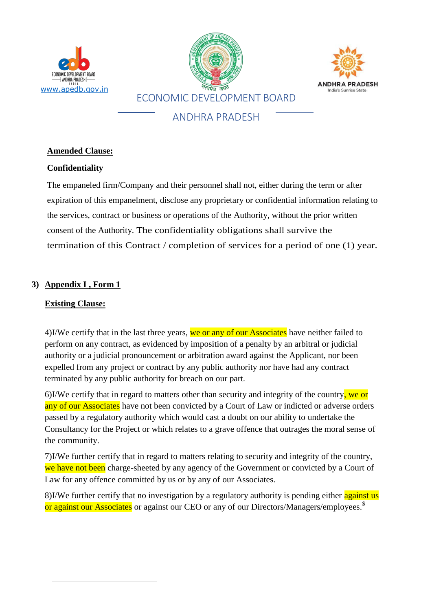





## **Amended Clause:**

### **Confidentiality**

The empaneled firm/Company and their personnel shall not, either during the term or after expiration of this empanelment, disclose any proprietary or confidential information relating to the services, contract or business or operations of the Authority, without the prior written consent of the Authority. The confidentiality obligations shall survive the termination of this Contract / completion of services for a period of one (1) year.

## **3) Appendix I , Form 1**

## **Existing Clause:**

**.** 

4)I/We certify that in the last three years, we or any of our Associates have neither failed to perform on any contract, as evidenced by imposition of a penalty by an arbitral or judicial authority or a judicial pronouncement or arbitration award against the Applicant, nor been expelled from any project or contract by any public authority nor have had any contract terminated by any public authority for breach on our part.

6)I/We certify that in regard to matters other than security and integrity of the country, we or any of our Associates have not been convicted by a Court of Law or indicted or adverse orders passed by a regulatory authority which would cast a doubt on our ability to undertake the Consultancy for the Project or which relates to a grave offence that outrages the moral sense of the community.

7)I/We further certify that in regard to matters relating to security and integrity of the country, we have not been charge-sheeted by any agency of the Government or convicted by a Court of Law for any offence committed by us or by any of our Associates.

8)I/We further certify that no investigation by a regulatory authority is pending either against us or against our Associates or against our CEO or any of our Directors/Managers/employees.<sup>\$</sup>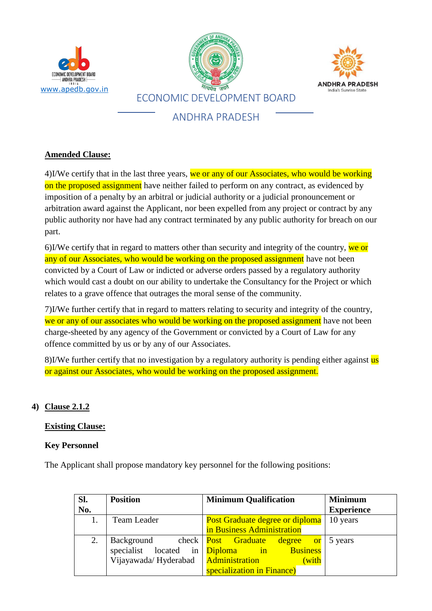





## **Amended Clause:**

4)I/We certify that in the last three years, we or any of our Associates, who would be working on the proposed assignment have neither failed to perform on any contract, as evidenced by imposition of a penalty by an arbitral or judicial authority or a judicial pronouncement or arbitration award against the Applicant, nor been expelled from any project or contract by any public authority nor have had any contract terminated by any public authority for breach on our part.

6)I/We certify that in regard to matters other than security and integrity of the country, we or any of our Associates, who would be working on the proposed assignment have not been convicted by a Court of Law or indicted or adverse orders passed by a regulatory authority which would cast a doubt on our ability to undertake the Consultancy for the Project or which relates to a grave offence that outrages the moral sense of the community.

7)I/We further certify that in regard to matters relating to security and integrity of the country, we or any of our associates who would be working on the proposed assignment have not been charge-sheeted by any agency of the Government or convicted by a Court of Law for any offence committed by us or by any of our Associates.

8)I/We further certify that no investigation by a regulatory authority is pending either against us or against our Associates, who would be working on the proposed assignment.

# **4) Clause 2.1.2**

## **Existing Clause:**

## **Key Personnel**

The Applicant shall propose mandatory key personnel for the following positions:

| Sl. | <b>Position</b>                | <b>Minimum Qualification</b>              | <b>Minimum</b>    |
|-----|--------------------------------|-------------------------------------------|-------------------|
| No. |                                |                                           | <b>Experience</b> |
|     | Team Leader                    | <b>Post Graduate degree or diploma</b>    | 10 years          |
|     |                                | in Business Administration                |                   |
|     | Background check Post Graduate | <u>degree</u><br><b>d</b> or              | 5 years           |
|     |                                | specialist located in Diploma in Business |                   |
|     | Vijayawada/Hyderabad           | <b>Administration</b><br>(with            |                   |
|     |                                | specialization in Finance)                |                   |